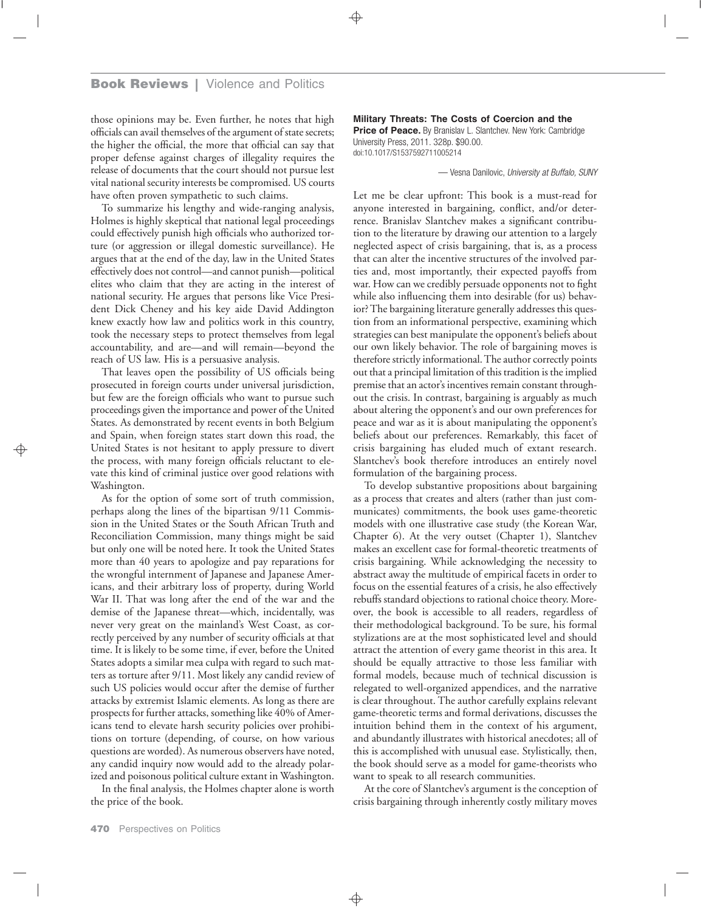## **Book Reviews |** Violence and Politics

those opinions may be. Even further, he notes that high officials can avail themselves of the argument of state secrets; the higher the official, the more that official can say that proper defense against charges of illegality requires the release of documents that the court should not pursue lest vital national security interests be compromised. US courts have often proven sympathetic to such claims.

To summarize his lengthy and wide-ranging analysis, Holmes is highly skeptical that national legal proceedings could effectively punish high officials who authorized torture (or aggression or illegal domestic surveillance). He argues that at the end of the day, law in the United States effectively does not control—and cannot punish—political elites who claim that they are acting in the interest of national security. He argues that persons like Vice President Dick Cheney and his key aide David Addington knew exactly how law and politics work in this country, took the necessary steps to protect themselves from legal accountability, and are—and will remain—beyond the reach of US law. His is a persuasive analysis.

That leaves open the possibility of US officials being prosecuted in foreign courts under universal jurisdiction, but few are the foreign officials who want to pursue such proceedings given the importance and power of the United States. As demonstrated by recent events in both Belgium and Spain, when foreign states start down this road, the United States is not hesitant to apply pressure to divert the process, with many foreign officials reluctant to elevate this kind of criminal justice over good relations with Washington.

As for the option of some sort of truth commission, perhaps along the lines of the bipartisan 9/11 Commission in the United States or the South African Truth and Reconciliation Commission, many things might be said but only one will be noted here. It took the United States more than 40 years to apologize and pay reparations for the wrongful internment of Japanese and Japanese Americans, and their arbitrary loss of property, during World War II. That was long after the end of the war and the demise of the Japanese threat—which, incidentally, was never very great on the mainland's West Coast, as correctly perceived by any number of security officials at that time. It is likely to be some time, if ever, before the United States adopts a similar mea culpa with regard to such matters as torture after 9/11. Most likely any candid review of such US policies would occur after the demise of further attacks by extremist Islamic elements. As long as there are prospects for further attacks, something like 40% of Americans tend to elevate harsh security policies over prohibitions on torture (depending, of course, on how various questions are worded). As numerous observers have noted, any candid inquiry now would add to the already polarized and poisonous political culture extant in Washington.

In the final analysis, the Holmes chapter alone is worth the price of the book.

## **Military Threats: The Costs of Coercion and the**

**Price of Peace.** By Branislav L. Slantchev. New York: Cambridge University Press, 2011. 328p. \$90.00. doi:10.1017/S1537592711005214

— Vesna Danilovic, *University at Buffalo, SUNY*

Let me be clear upfront: This book is a must-read for anyone interested in bargaining, conflict, and/or deterrence. Branislav Slantchev makes a significant contribution to the literature by drawing our attention to a largely neglected aspect of crisis bargaining, that is, as a process that can alter the incentive structures of the involved parties and, most importantly, their expected payoffs from war. How can we credibly persuade opponents not to fight while also influencing them into desirable (for us) behavior? The bargaining literature generally addresses this question from an informational perspective, examining which strategies can best manipulate the opponent's beliefs about our own likely behavior. The role of bargaining moves is therefore strictly informational. The author correctly points out that a principal limitation of this tradition is the implied premise that an actor's incentives remain constant throughout the crisis. In contrast, bargaining is arguably as much about altering the opponent's and our own preferences for peace and war as it is about manipulating the opponent's beliefs about our preferences. Remarkably, this facet of crisis bargaining has eluded much of extant research. Slantchev's book therefore introduces an entirely novel formulation of the bargaining process.

To develop substantive propositions about bargaining as a process that creates and alters (rather than just communicates) commitments, the book uses game-theoretic models with one illustrative case study (the Korean War, Chapter 6). At the very outset (Chapter 1), Slantchev makes an excellent case for formal-theoretic treatments of crisis bargaining. While acknowledging the necessity to abstract away the multitude of empirical facets in order to focus on the essential features of a crisis, he also effectively rebuffs standard objections to rational choice theory. Moreover, the book is accessible to all readers, regardless of their methodological background. To be sure, his formal stylizations are at the most sophisticated level and should attract the attention of every game theorist in this area. It should be equally attractive to those less familiar with formal models, because much of technical discussion is relegated to well-organized appendices, and the narrative is clear throughout. The author carefully explains relevant game-theoretic terms and formal derivations, discusses the intuition behind them in the context of his argument, and abundantly illustrates with historical anecdotes; all of this is accomplished with unusual ease. Stylistically, then, the book should serve as a model for game-theorists who want to speak to all research communities.

At the core of Slantchev's argument is the conception of crisis bargaining through inherently costly military moves